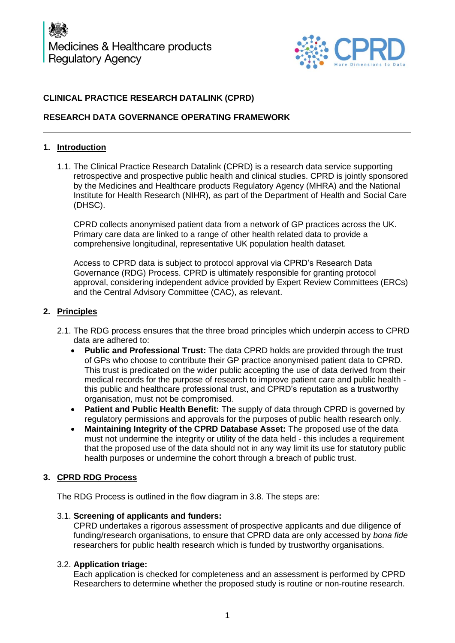

# **CLINICAL PRACTICE RESEARCH DATALINK (CPRD)**

## **RESEARCH DATA GOVERNANCE OPERATING FRAMEWORK**

## **1. Introduction**

1.1. The Clinical Practice Research Datalink (CPRD) is a research data service supporting retrospective and prospective public health and clinical studies. CPRD is jointly sponsored by the Medicines and Healthcare products Regulatory Agency (MHRA) and the National Institute for Health Research (NIHR), as part of the Department of Health and Social Care (DHSC).

CPRD collects anonymised patient data from a network of GP practices across the UK. Primary care data are linked to a range of other health related data to provide a comprehensive longitudinal, representative UK population health dataset.

Access to CPRD data is subject to protocol approval via CPRD's Research Data Governance (RDG) Process. CPRD is ultimately responsible for granting protocol approval, considering independent advice provided by Expert Review Committees (ERCs) and the Central Advisory Committee (CAC), as relevant.

## **2. Principles**

- 2.1. The RDG process ensures that the three broad principles which underpin access to CPRD data are adhered to:
	- **Public and Professional Trust:** The data CPRD holds are provided through the trust of GPs who choose to contribute their GP practice anonymised patient data to CPRD. This trust is predicated on the wider public accepting the use of data derived from their medical records for the purpose of research to improve patient care and public health this public and healthcare professional trust, and CPRD's reputation as a trustworthy organisation, must not be compromised.
	- **Patient and Public Health Benefit:** The supply of data through CPRD is governed by regulatory permissions and approvals for the purposes of public health research only.
	- **Maintaining Integrity of the CPRD Database Asset:** The proposed use of the data must not undermine the integrity or utility of the data held - this includes a requirement that the proposed use of the data should not in any way limit its use for statutory public health purposes or undermine the cohort through a breach of public trust.

# **3. CPRD RDG Process**

The RDG Process is outlined in the flow diagram in 3.8. The steps are:

## 3.1. **Screening of applicants and funders:**

CPRD undertakes a rigorous assessment of prospective applicants and due diligence of funding/research organisations, to ensure that CPRD data are only accessed by *bona fide* researchers for public health research which is funded by trustworthy organisations.

## 3.2. **Application triage:**

Each application is checked for completeness and an assessment is performed by CPRD Researchers to determine whether the proposed study is routine or non-routine research.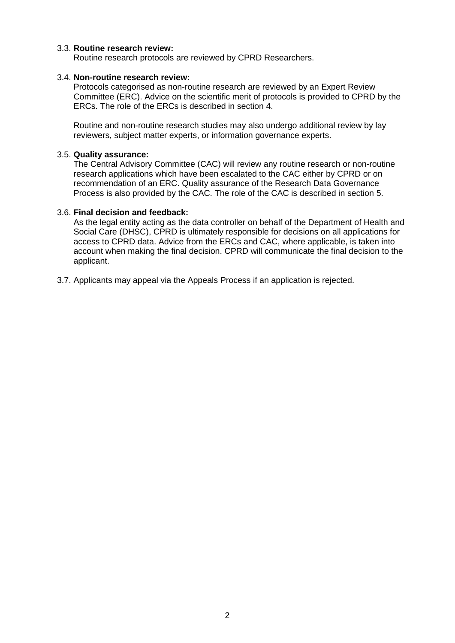#### 3.3. **Routine research review:**

Routine research protocols are reviewed by CPRD Researchers.

#### 3.4. **Non-routine research review:**

Protocols categorised as non-routine research are reviewed by an Expert Review Committee (ERC). Advice on the scientific merit of protocols is provided to CPRD by the ERCs. The role of the ERCs is described in section 4.

Routine and non-routine research studies may also undergo additional review by lay reviewers, subject matter experts, or information governance experts.

#### 3.5. **Quality assurance:**

The Central Advisory Committee (CAC) will review any routine research or non-routine research applications which have been escalated to the CAC either by CPRD or on recommendation of an ERC. Quality assurance of the Research Data Governance Process is also provided by the CAC. The role of the CAC is described in section 5.

#### 3.6. **Final decision and feedback:**

As the legal entity acting as the data controller on behalf of the Department of Health and Social Care (DHSC), CPRD is ultimately responsible for decisions on all applications for access to CPRD data. Advice from the ERCs and CAC, where applicable, is taken into account when making the final decision. CPRD will communicate the final decision to the applicant.

3.7. Applicants may appeal via the Appeals Process if an application is rejected.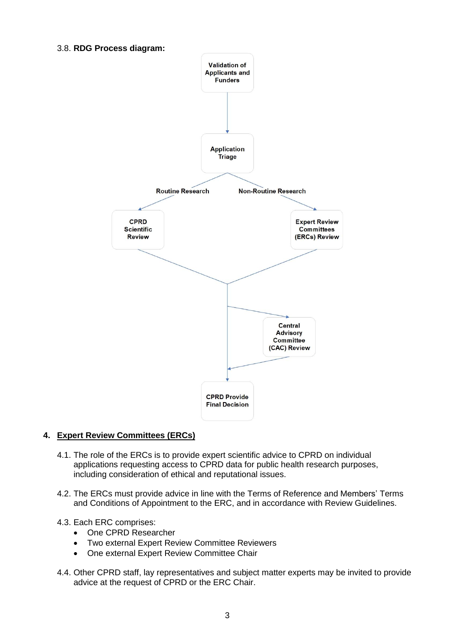#### 3.8. **RDG Process diagram:**



# **4. Expert Review Committees (ERCs)**

- 4.1. The role of the ERCs is to provide expert scientific advice to CPRD on individual applications requesting access to CPRD data for public health research purposes, including consideration of ethical and reputational issues.
- 4.2. The ERCs must provide advice in line with the Terms of Reference and Members' Terms and Conditions of Appointment to the ERC, and in accordance with Review Guidelines.

## 4.3. Each ERC comprises:

- One CPRD Researcher
- Two external Expert Review Committee Reviewers
- One external Expert Review Committee Chair
- 4.4. Other CPRD staff, lay representatives and subject matter experts may be invited to provide advice at the request of CPRD or the ERC Chair.